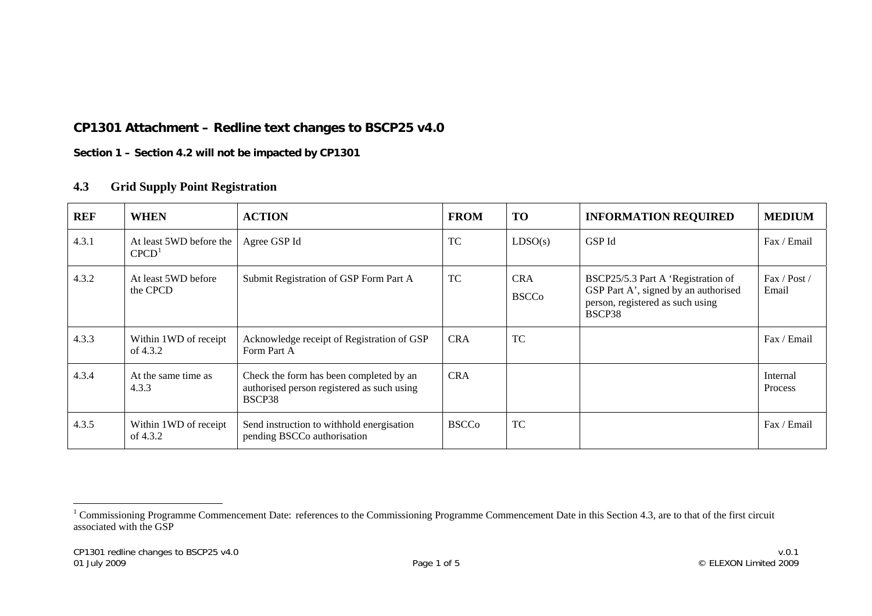## **CP1301 Attachment – Redline text changes to BSCP25 v4.0**

**Section 1 – Section 4.2 will not be impacted by CP1301** 

## **4.3 Grid Supply Point Registration**

| <b>REF</b> | <b>WHEN</b>                                  | <b>ACTION</b>                                                                                   | <b>FROM</b>  | <b>TO</b>                  | <b>INFORMATION REQUIRED</b>                                                                                              | <b>MEDIUM</b>              |
|------------|----------------------------------------------|-------------------------------------------------------------------------------------------------|--------------|----------------------------|--------------------------------------------------------------------------------------------------------------------------|----------------------------|
| 4.3.1      | At least 5WD before the<br>CPCD <sup>1</sup> | Agree GSP Id                                                                                    | <b>TC</b>    | LDSO(s)                    | GSP Id                                                                                                                   | Fax / Email                |
| 4.3.2      | At least 5WD before<br>the CPCD              | Submit Registration of GSP Form Part A                                                          | TC           | <b>CRA</b><br><b>BSCCo</b> | BSCP25/5.3 Part A 'Registration of<br>GSP Part A', signed by an authorised<br>person, registered as such using<br>BSCP38 | Fax / Post /<br>Email      |
| 4.3.3      | Within 1WD of receipt<br>of 4.3.2            | Acknowledge receipt of Registration of GSP<br>Form Part A                                       | <b>CRA</b>   | <b>TC</b>                  |                                                                                                                          | Fax / Email                |
| 4.3.4      | At the same time as<br>4.3.3                 | Check the form has been completed by an<br>authorised person registered as such using<br>BSCP38 | <b>CRA</b>   |                            |                                                                                                                          | Internal<br><b>Process</b> |
| 4.3.5      | Within 1WD of receipt<br>of 4.3.2            | Send instruction to withhold energisation<br>pending BSCCo authorisation                        | <b>BSCCo</b> | <b>TC</b>                  |                                                                                                                          | Fax / Email                |

<span id="page-0-0"></span><sup>&</sup>lt;sup>1</sup> Commissioning Programme Commencement Date: references to the Commissioning Programme Commencement Date in this Section 4.3, are to that of the first circuit associated with the GSP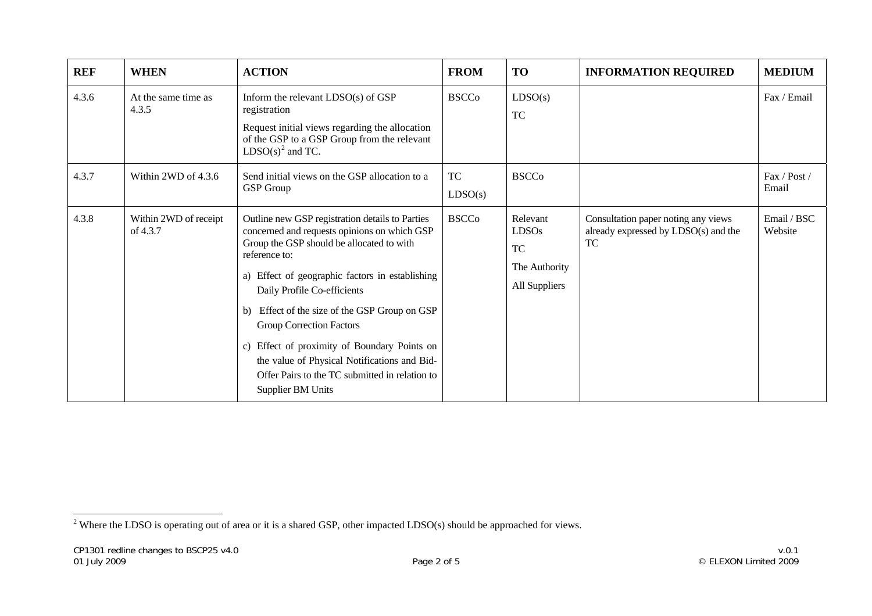| <b>REF</b> | <b>WHEN</b>                       | <b>ACTION</b>                                                                                                                                                                                                                                                                                                                                                                                                                                                                                                     | <b>FROM</b>          | TO                                                                      | <b>INFORMATION REQUIRED</b>                                                              | <b>MEDIUM</b>          |
|------------|-----------------------------------|-------------------------------------------------------------------------------------------------------------------------------------------------------------------------------------------------------------------------------------------------------------------------------------------------------------------------------------------------------------------------------------------------------------------------------------------------------------------------------------------------------------------|----------------------|-------------------------------------------------------------------------|------------------------------------------------------------------------------------------|------------------------|
| 4.3.6      | At the same time as<br>4.3.5      | Inform the relevant $LDSO(s)$ of $GSP$<br>registration<br>Request initial views regarding the allocation<br>of the GSP to a GSP Group from the relevant<br>$LDSO(s)2$ and TC.                                                                                                                                                                                                                                                                                                                                     | <b>BSCCo</b>         | LDSO(s)<br><b>TC</b>                                                    |                                                                                          | Fax / Email            |
| 4.3.7      | Within 2WD of 4.3.6               | Send initial views on the GSP allocation to a<br><b>GSP</b> Group                                                                                                                                                                                                                                                                                                                                                                                                                                                 | <b>TC</b><br>LDSO(s) | <b>BSCCo</b>                                                            |                                                                                          | Fax / Post /<br>Email  |
| 4.3.8      | Within 2WD of receipt<br>of 4.3.7 | Outline new GSP registration details to Parties<br>concerned and requests opinions on which GSP<br>Group the GSP should be allocated to with<br>reference to:<br>a) Effect of geographic factors in establishing<br>Daily Profile Co-efficients<br>b) Effect of the size of the GSP Group on GSP<br><b>Group Correction Factors</b><br>c) Effect of proximity of Boundary Points on<br>the value of Physical Notifications and Bid-<br>Offer Pairs to the TC submitted in relation to<br><b>Supplier BM Units</b> | <b>BSCCo</b>         | Relevant<br><b>LDSOs</b><br><b>TC</b><br>The Authority<br>All Suppliers | Consultation paper noting any views<br>already expressed by LDSO(s) and the<br><b>TC</b> | Email / BSC<br>Website |

<span id="page-1-0"></span><sup>&</sup>lt;sup>2</sup> Where the LDSO is operating out of area or it is a shared GSP, other impacted LDSO(s) should be approached for views.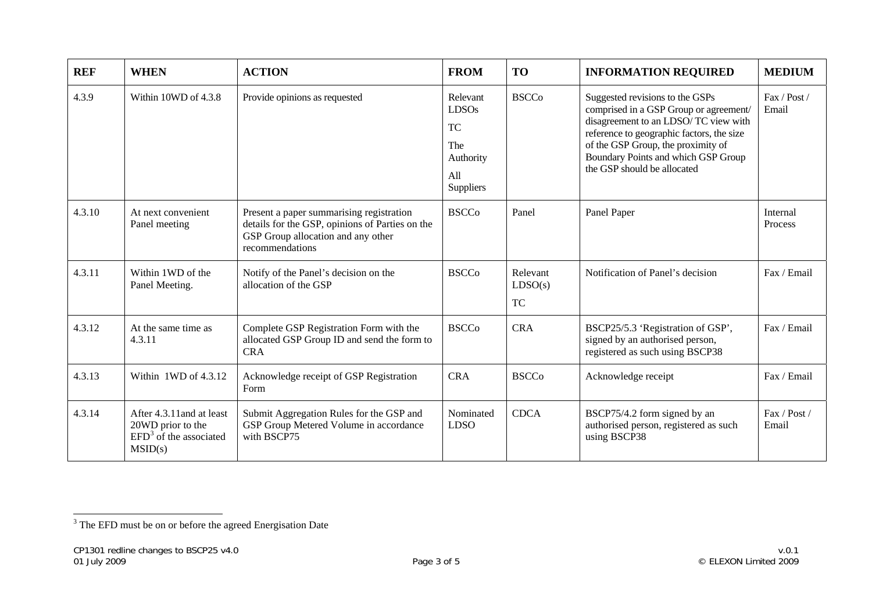| <b>REF</b> | <b>WHEN</b>                                                                           | <b>ACTION</b>                                                                                                                                        | <b>FROM</b>                                                                   | <b>TO</b>                        | <b>INFORMATION REQUIRED</b>                                                                                                                                                                                                                                                | <b>MEDIUM</b>         |
|------------|---------------------------------------------------------------------------------------|------------------------------------------------------------------------------------------------------------------------------------------------------|-------------------------------------------------------------------------------|----------------------------------|----------------------------------------------------------------------------------------------------------------------------------------------------------------------------------------------------------------------------------------------------------------------------|-----------------------|
| 4.3.9      | Within 10WD of 4.3.8                                                                  | Provide opinions as requested                                                                                                                        | Relevant<br><b>LDSOs</b><br><b>TC</b><br>The<br>Authority<br>All<br>Suppliers | <b>BSCCo</b>                     | Suggested revisions to the GSPs<br>comprised in a GSP Group or agreement/<br>disagreement to an LDSO/TC view with<br>reference to geographic factors, the size<br>of the GSP Group, the proximity of<br>Boundary Points and which GSP Group<br>the GSP should be allocated | Fax / Post /<br>Email |
| 4.3.10     | At next convenient<br>Panel meeting                                                   | Present a paper summarising registration<br>details for the GSP, opinions of Parties on the<br>GSP Group allocation and any other<br>recommendations | <b>BSCCo</b>                                                                  | Panel                            | Panel Paper                                                                                                                                                                                                                                                                | Internal<br>Process   |
| 4.3.11     | Within 1WD of the<br>Panel Meeting.                                                   | Notify of the Panel's decision on the<br>allocation of the GSP                                                                                       | <b>BSCCo</b>                                                                  | Relevant<br>LDSO(s)<br><b>TC</b> | Notification of Panel's decision                                                                                                                                                                                                                                           | Fax / Email           |
| 4.3.12     | At the same time as<br>4.3.11                                                         | Complete GSP Registration Form with the<br>allocated GSP Group ID and send the form to<br><b>CRA</b>                                                 | <b>BSCCo</b>                                                                  | <b>CRA</b>                       | BSCP25/5.3 'Registration of GSP',<br>signed by an authorised person,<br>registered as such using BSCP38                                                                                                                                                                    | Fax / Email           |
| 4.3.13     | Within 1WD of 4.3.12                                                                  | Acknowledge receipt of GSP Registration<br>Form                                                                                                      | <b>CRA</b>                                                                    | <b>BSCCo</b>                     | Acknowledge receipt                                                                                                                                                                                                                                                        | Fax / Email           |
| 4.3.14     | After 4.3.11 and at least<br>20WD prior to the<br>$EFD3$ of the associated<br>MSID(s) | Submit Aggregation Rules for the GSP and<br>GSP Group Metered Volume in accordance<br>with BSCP75                                                    | Nominated<br><b>LDSO</b>                                                      | <b>CDCA</b>                      | BSCP75/4.2 form signed by an<br>authorised person, registered as such<br>using BSCP38                                                                                                                                                                                      | Fax / Post /<br>Email |

<span id="page-2-0"></span><sup>&</sup>lt;sup>3</sup> The EFD must be on or before the agreed Energisation Date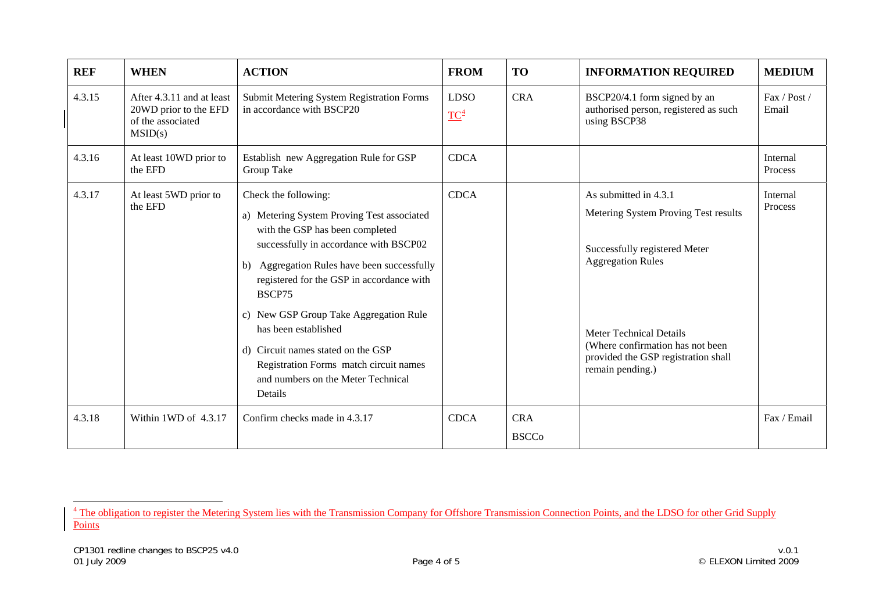| <b>REF</b> | <b>WHEN</b>                                                                        | <b>ACTION</b>                                                                                                                                                                                                                                                                                                                                                                                                                                            | <b>FROM</b>           | <b>TO</b>                  | <b>INFORMATION REQUIRED</b>                                                                                                                                                                                                                                 | <b>MEDIUM</b>         |
|------------|------------------------------------------------------------------------------------|----------------------------------------------------------------------------------------------------------------------------------------------------------------------------------------------------------------------------------------------------------------------------------------------------------------------------------------------------------------------------------------------------------------------------------------------------------|-----------------------|----------------------------|-------------------------------------------------------------------------------------------------------------------------------------------------------------------------------------------------------------------------------------------------------------|-----------------------|
| 4.3.15     | After 4.3.11 and at least<br>20WD prior to the EFD<br>of the associated<br>MSID(s) | <b>Submit Metering System Registration Forms</b><br>in accordance with BSCP20                                                                                                                                                                                                                                                                                                                                                                            | <b>LDSO</b><br>$TC^4$ | <b>CRA</b>                 | BSCP20/4.1 form signed by an<br>authorised person, registered as such<br>using BSCP38                                                                                                                                                                       | Fax / Post /<br>Email |
| 4.3.16     | At least 10WD prior to<br>the EFD                                                  | Establish new Aggregation Rule for GSP<br>Group Take                                                                                                                                                                                                                                                                                                                                                                                                     | <b>CDCA</b>           |                            |                                                                                                                                                                                                                                                             | Internal<br>Process   |
| 4.3.17     | At least 5WD prior to<br>the EFD                                                   | Check the following:<br>a) Metering System Proving Test associated<br>with the GSP has been completed<br>successfully in accordance with BSCP02<br>b) Aggregation Rules have been successfully<br>registered for the GSP in accordance with<br>BSCP75<br>c) New GSP Group Take Aggregation Rule<br>has been established<br>d) Circuit names stated on the GSP<br>Registration Forms match circuit names<br>and numbers on the Meter Technical<br>Details | <b>CDCA</b>           |                            | As submitted in 4.3.1<br>Metering System Proving Test results<br>Successfully registered Meter<br><b>Aggregation Rules</b><br><b>Meter Technical Details</b><br>(Where confirmation has not been<br>provided the GSP registration shall<br>remain pending.) | Internal<br>Process   |
| 4.3.18     | Within 1WD of 4.3.17                                                               | Confirm checks made in 4.3.17                                                                                                                                                                                                                                                                                                                                                                                                                            | <b>CDCA</b>           | <b>CRA</b><br><b>BSCCo</b> |                                                                                                                                                                                                                                                             | Fax / Email           |

<span id="page-3-0"></span><sup>&</sup>lt;sup>4</sup> The obligation to register the Metering System lies with the Transmission Company for Offshore Transmission Connection Points, and the LDSO for other Grid Supply **Points**